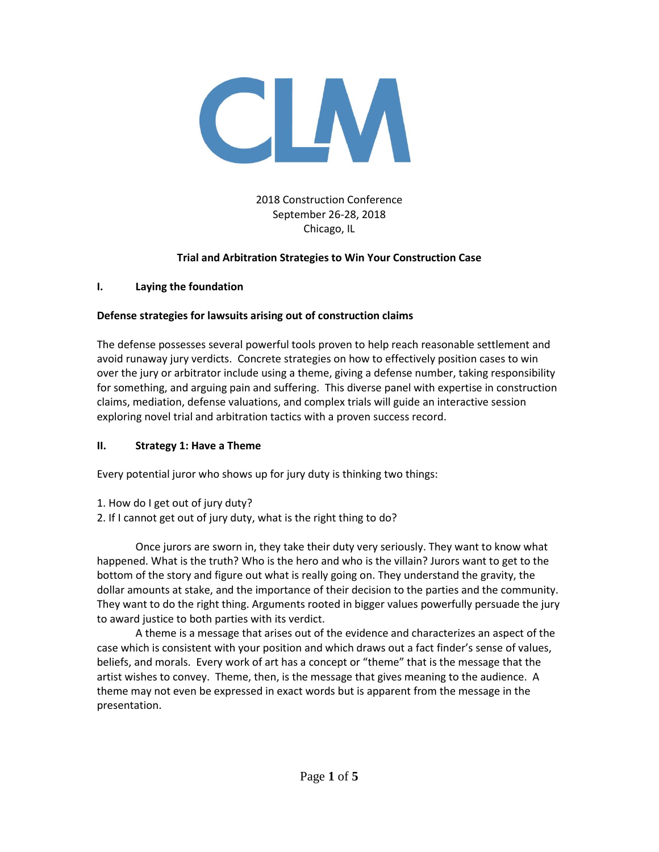

## 2018 Construction Conference September 26-28, 2018 Chicago, IL

## **Trial and Arbitration Strategies to Win Your Construction Case**

### **I. Laying the foundation**

### **Defense strategies for lawsuits arising out of construction claims**

The defense possesses several powerful tools proven to help reach reasonable settlement and avoid runaway jury verdicts. Concrete strategies on how to effectively position cases to win over the jury or arbitrator include using a theme, giving a defense number, taking responsibility for something, and arguing pain and suffering. This diverse panel with expertise in construction claims, mediation, defense valuations, and complex trials will guide an interactive session exploring novel trial and arbitration tactics with a proven success record.

### **II. Strategy 1: Have a Theme**

Every potential juror who shows up for jury duty is thinking two things:

- 1. How do I get out of jury duty?
- 2. If I cannot get out of jury duty, what is the right thing to do?

Once jurors are sworn in, they take their duty very seriously. They want to know what happened. What is the truth? Who is the hero and who is the villain? Jurors want to get to the bottom of the story and figure out what is really going on. They understand the gravity, the dollar amounts at stake, and the importance of their decision to the parties and the community. They want to do the right thing. Arguments rooted in bigger values powerfully persuade the jury to award justice to both parties with its verdict.

A theme is a message that arises out of the evidence and characterizes an aspect of the case which is consistent with your position and which draws out a fact finder's sense of values, beliefs, and morals. Every work of art has a concept or "theme" that is the message that the artist wishes to convey. Theme, then, is the message that gives meaning to the audience. A theme may not even be expressed in exact words but is apparent from the message in the presentation.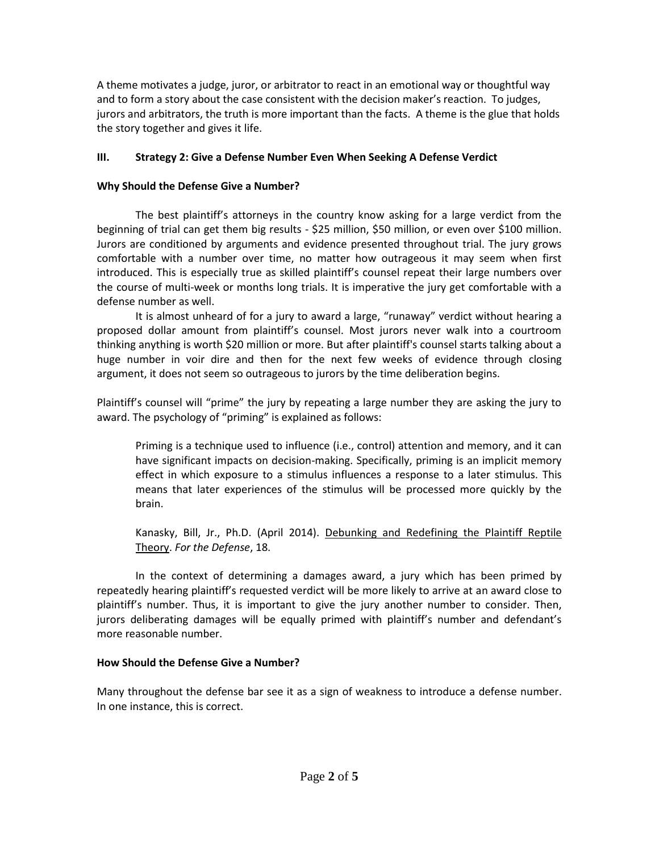A theme motivates a judge, juror, or arbitrator to react in an emotional way or thoughtful way and to form a story about the case consistent with the decision maker's reaction. To judges, jurors and arbitrators, the truth is more important than the facts. A theme is the glue that holds the story together and gives it life.

## **III. Strategy 2: Give a Defense Number Even When Seeking A Defense Verdict**

### **Why Should the Defense Give a Number?**

The best plaintiff's attorneys in the country know asking for a large verdict from the beginning of trial can get them big results - \$25 million, \$50 million, or even over \$100 million. Jurors are conditioned by arguments and evidence presented throughout trial. The jury grows comfortable with a number over time, no matter how outrageous it may seem when first introduced. This is especially true as skilled plaintiff's counsel repeat their large numbers over the course of multi-week or months long trials. It is imperative the jury get comfortable with a defense number as well.

It is almost unheard of for a jury to award a large, "runaway" verdict without hearing a proposed dollar amount from plaintiff's counsel. Most jurors never walk into a courtroom thinking anything is worth \$20 million or more. But after plaintiff's counsel starts talking about a huge number in voir dire and then for the next few weeks of evidence through closing argument, it does not seem so outrageous to jurors by the time deliberation begins.

Plaintiff's counsel will "prime" the jury by repeating a large number they are asking the jury to award. The psychology of "priming" is explained as follows:

Priming is a technique used to influence (i.e., control) attention and memory, and it can have significant impacts on decision-making. Specifically, priming is an implicit memory effect in which exposure to a stimulus influences a response to a later stimulus. This means that later experiences of the stimulus will be processed more quickly by the brain.

Kanasky, Bill, Jr., Ph.D. (April 2014). Debunking and Redefining the Plaintiff Reptile Theory. *For the Defense*, 18.

In the context of determining a damages award, a jury which has been primed by repeatedly hearing plaintiff's requested verdict will be more likely to arrive at an award close to plaintiff's number. Thus, it is important to give the jury another number to consider. Then, jurors deliberating damages will be equally primed with plaintiff's number and defendant's more reasonable number.

### **How Should the Defense Give a Number?**

Many throughout the defense bar see it as a sign of weakness to introduce a defense number. In one instance, this is correct.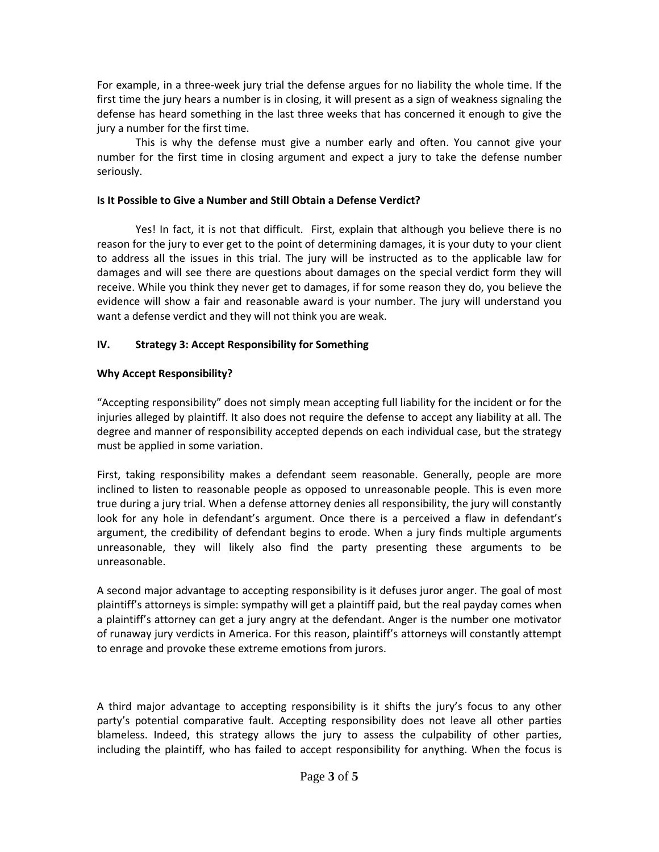For example, in a three-week jury trial the defense argues for no liability the whole time. If the first time the jury hears a number is in closing, it will present as a sign of weakness signaling the defense has heard something in the last three weeks that has concerned it enough to give the jury a number for the first time.

This is why the defense must give a number early and often. You cannot give your number for the first time in closing argument and expect a jury to take the defense number seriously.

### **Is It Possible to Give a Number and Still Obtain a Defense Verdict?**

Yes! In fact, it is not that difficult. First, explain that although you believe there is no reason for the jury to ever get to the point of determining damages, it is your duty to your client to address all the issues in this trial. The jury will be instructed as to the applicable law for damages and will see there are questions about damages on the special verdict form they will receive. While you think they never get to damages, if for some reason they do, you believe the evidence will show a fair and reasonable award is your number. The jury will understand you want a defense verdict and they will not think you are weak.

## **IV. Strategy 3: Accept Responsibility for Something**

### **Why Accept Responsibility?**

"Accepting responsibility" does not simply mean accepting full liability for the incident or for the injuries alleged by plaintiff. It also does not require the defense to accept any liability at all. The degree and manner of responsibility accepted depends on each individual case, but the strategy must be applied in some variation.

First, taking responsibility makes a defendant seem reasonable. Generally, people are more inclined to listen to reasonable people as opposed to unreasonable people. This is even more true during a jury trial. When a defense attorney denies all responsibility, the jury will constantly look for any hole in defendant's argument. Once there is a perceived a flaw in defendant's argument, the credibility of defendant begins to erode. When a jury finds multiple arguments unreasonable, they will likely also find the party presenting these arguments to be unreasonable.

A second major advantage to accepting responsibility is it defuses juror anger. The goal of most plaintiff's attorneys is simple: sympathy will get a plaintiff paid, but the real payday comes when a plaintiff's attorney can get a jury angry at the defendant. Anger is the number one motivator of runaway jury verdicts in America. For this reason, plaintiff's attorneys will constantly attempt to enrage and provoke these extreme emotions from jurors.

A third major advantage to accepting responsibility is it shifts the jury's focus to any other party's potential comparative fault. Accepting responsibility does not leave all other parties blameless. Indeed, this strategy allows the jury to assess the culpability of other parties, including the plaintiff, who has failed to accept responsibility for anything. When the focus is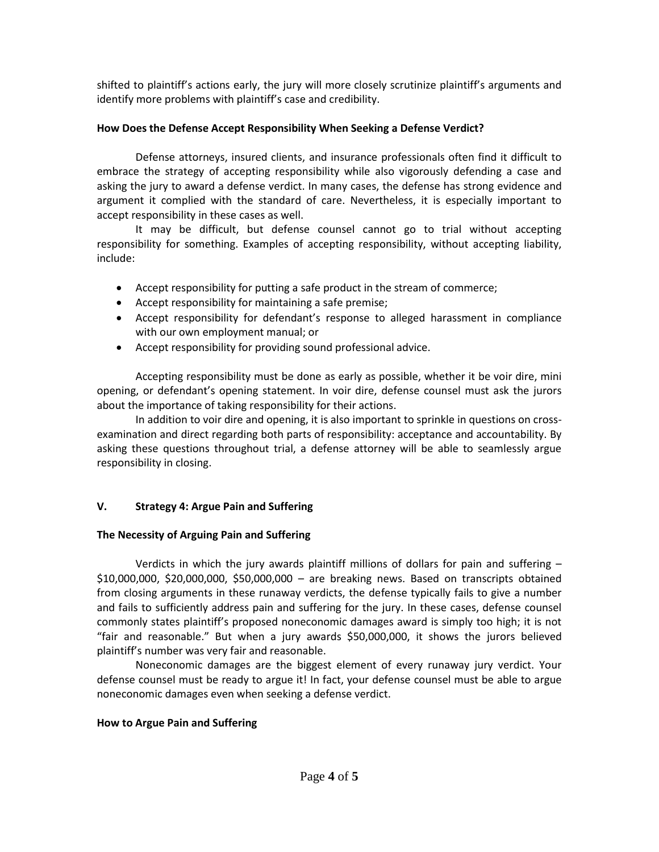shifted to plaintiff's actions early, the jury will more closely scrutinize plaintiff's arguments and identify more problems with plaintiff's case and credibility.

#### **How Does the Defense Accept Responsibility When Seeking a Defense Verdict?**

Defense attorneys, insured clients, and insurance professionals often find it difficult to embrace the strategy of accepting responsibility while also vigorously defending a case and asking the jury to award a defense verdict. In many cases, the defense has strong evidence and argument it complied with the standard of care. Nevertheless, it is especially important to accept responsibility in these cases as well.

It may be difficult, but defense counsel cannot go to trial without accepting responsibility for something. Examples of accepting responsibility, without accepting liability, include:

- Accept responsibility for putting a safe product in the stream of commerce;
- Accept responsibility for maintaining a safe premise;
- Accept responsibility for defendant's response to alleged harassment in compliance with our own employment manual; or
- Accept responsibility for providing sound professional advice.

Accepting responsibility must be done as early as possible, whether it be voir dire, mini opening, or defendant's opening statement. In voir dire, defense counsel must ask the jurors about the importance of taking responsibility for their actions.

In addition to voir dire and opening, it is also important to sprinkle in questions on crossexamination and direct regarding both parts of responsibility: acceptance and accountability. By asking these questions throughout trial, a defense attorney will be able to seamlessly argue responsibility in closing.

# **V. Strategy 4: Argue Pain and Suffering**

# **The Necessity of Arguing Pain and Suffering**

Verdicts in which the jury awards plaintiff millions of dollars for pain and suffering – \$10,000,000, \$20,000,000, \$50,000,000 – are breaking news. Based on transcripts obtained from closing arguments in these runaway verdicts, the defense typically fails to give a number and fails to sufficiently address pain and suffering for the jury. In these cases, defense counsel commonly states plaintiff's proposed noneconomic damages award is simply too high; it is not "fair and reasonable." But when a jury awards \$50,000,000, it shows the jurors believed plaintiff's number was very fair and reasonable.

Noneconomic damages are the biggest element of every runaway jury verdict. Your defense counsel must be ready to argue it! In fact, your defense counsel must be able to argue noneconomic damages even when seeking a defense verdict.

# **How to Argue Pain and Suffering**